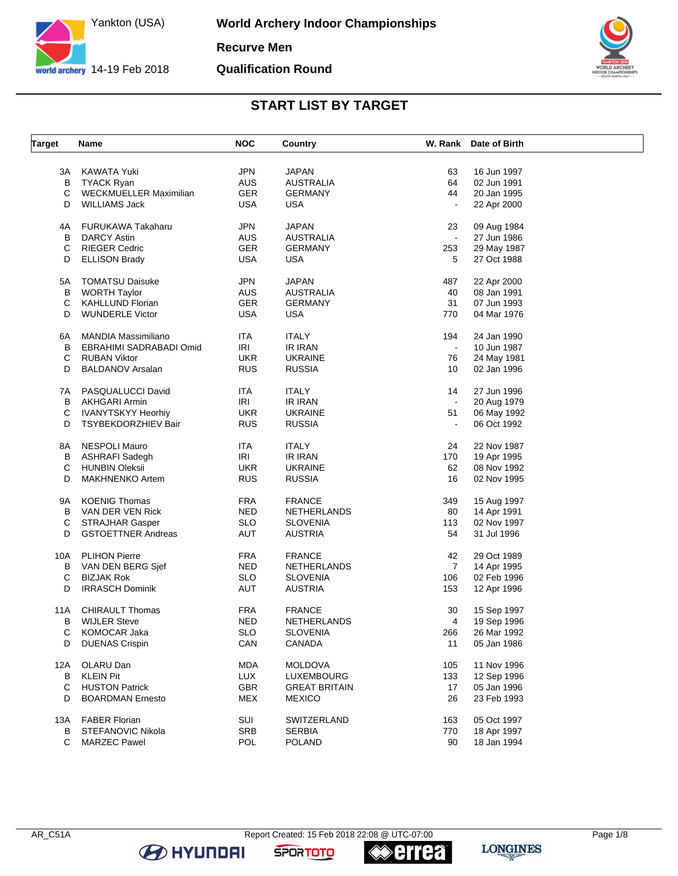

**World Archery Indoor Championships Recurve Men**

**Qualification Round**



#### **START LIST BY TARGET**

| <b>Target</b> | Name                       | <b>NOC</b> | Country              |                | W. Rank Date of Birth |  |
|---------------|----------------------------|------------|----------------------|----------------|-----------------------|--|
|               |                            |            |                      |                |                       |  |
| ЗA            | KAWATA Yuki                | <b>JPN</b> | <b>JAPAN</b>         | 63             | 16 Jun 1997           |  |
| В             | <b>TYACK Ryan</b>          | <b>AUS</b> | <b>AUSTRALIA</b>     | 64             | 02 Jun 1991           |  |
| С             | WECKMUELLER Maximilian     | <b>GER</b> | <b>GERMANY</b>       | 44             | 20 Jan 1995           |  |
| D             | <b>WILLIAMS Jack</b>       | <b>USA</b> | <b>USA</b>           | $\blacksquare$ | 22 Apr 2000           |  |
| 4A            | <b>FURUKAWA Takaharu</b>   | <b>JPN</b> | <b>JAPAN</b>         | 23             | 09 Aug 1984           |  |
| В             | <b>DARCY Astin</b>         | <b>AUS</b> | <b>AUSTRALIA</b>     | $\blacksquare$ | 27 Jun 1986           |  |
| С             | <b>RIEGER Cedric</b>       | <b>GER</b> | <b>GERMANY</b>       | 253            | 29 May 1987           |  |
|               |                            |            |                      |                |                       |  |
| D             | <b>ELLISON Brady</b>       | <b>USA</b> | <b>USA</b>           | 5              | 27 Oct 1988           |  |
| 5A            | <b>TOMATSU Daisuke</b>     | <b>JPN</b> | <b>JAPAN</b>         | 487            | 22 Apr 2000           |  |
| в             | <b>WORTH Taylor</b>        | <b>AUS</b> | <b>AUSTRALIA</b>     | 40             | 08 Jan 1991           |  |
| С             | <b>KAHLLUND Florian</b>    | <b>GER</b> | <b>GERMANY</b>       | 31             | 07 Jun 1993           |  |
| D             | <b>WUNDERLE Victor</b>     | <b>USA</b> | USA                  | 770            | 04 Mar 1976           |  |
| 6A            | <b>MANDIA Massimiliano</b> | <b>ITA</b> | <b>ITALY</b>         | 194            | 24 Jan 1990           |  |
| В             | EBRAHIMI SADRABADI Omid    | <b>IRI</b> | IR IRAN              | $\sim$         | 10 Jun 1987           |  |
|               |                            |            |                      |                |                       |  |
| C             | <b>RUBAN Viktor</b>        | <b>UKR</b> | <b>UKRAINE</b>       | 76             | 24 May 1981           |  |
| D             | <b>BALDANOV Arsalan</b>    | <b>RUS</b> | <b>RUSSIA</b>        | 10             | 02 Jan 1996           |  |
| 7A            | PASQUALUCCI David          | ITA        | <b>ITALY</b>         | 14             | 27 Jun 1996           |  |
| B             | <b>AKHGARI Armin</b>       | <b>IRI</b> | IR IRAN              | $\sim$         | 20 Aug 1979           |  |
| С             | <b>IVANYTSKYY Heorhiy</b>  | <b>UKR</b> | <b>UKRAINE</b>       | 51             | 06 May 1992           |  |
| D             | <b>TSYBEKDORZHIEV Bair</b> | <b>RUS</b> | <b>RUSSIA</b>        | $\blacksquare$ | 06 Oct 1992           |  |
|               |                            |            |                      |                |                       |  |
| 8A            | <b>NESPOLI Mauro</b>       | ITA        | <b>ITALY</b>         | 24             | 22 Nov 1987           |  |
| В             | <b>ASHRAFI Sadegh</b>      | <b>IRI</b> | IR IRAN              | 170            | 19 Apr 1995           |  |
| С             | <b>HUNBIN Oleksii</b>      | <b>UKR</b> | <b>UKRAINE</b>       | 62             | 08 Nov 1992           |  |
| D             | <b>MAKHNENKO Artem</b>     | <b>RUS</b> | <b>RUSSIA</b>        | 16             | 02 Nov 1995           |  |
|               |                            |            |                      |                |                       |  |
| 9A            | <b>KOENIG Thomas</b>       | <b>FRA</b> | <b>FRANCE</b>        | 349            | 15 Aug 1997           |  |
| в             | VAN DER VEN Rick           | <b>NED</b> | NETHERLANDS          | 80             | 14 Apr 1991           |  |
| С             | <b>STRAJHAR Gasper</b>     | <b>SLO</b> | <b>SLOVENIA</b>      | 113            | 02 Nov 1997           |  |
| D             | <b>GSTOETTNER Andreas</b>  | <b>AUT</b> | <b>AUSTRIA</b>       | 54             | 31 Jul 1996           |  |
| 10A           | <b>PLIHON Pierre</b>       | <b>FRA</b> | <b>FRANCE</b>        | 42             | 29 Oct 1989           |  |
| В             | VAN DEN BERG Sjef          | <b>NED</b> | NETHERLANDS          | $\overline{7}$ | 14 Apr 1995           |  |
| C             | <b>BIZJAK Rok</b>          | <b>SLO</b> | <b>SLOVENIA</b>      | 106            | 02 Feb 1996           |  |
| D             | <b>IRRASCH Dominik</b>     | AUT        | <b>AUSTRIA</b>       | 153            | 12 Apr 1996           |  |
|               |                            |            |                      |                |                       |  |
| 11A           | <b>CHIRAULT Thomas</b>     | <b>FRA</b> | <b>FRANCE</b>        | 30             | 15 Sep 1997           |  |
| В             | <b>WIJLER Steve</b>        | <b>NED</b> | NETHERLANDS          | 4              | 19 Sep 1996           |  |
| С             | KOMOCAR Jaka               | <b>SLO</b> | SLOVENIA             | 266            | 26 Mar 1992           |  |
| D             | <b>DUENAS Crispin</b>      | CAN        | CANADA               | 11             | 05 Jan 1986           |  |
| 12A           | OLARU Dan                  | <b>MDA</b> | <b>MOLDOVA</b>       | 105            | 11 Nov 1996           |  |
| В             | <b>KLEIN Pit</b>           | <b>LUX</b> | LUXEMBOURG           | 133            | 12 Sep 1996           |  |
|               | <b>HUSTON Patrick</b>      |            |                      |                | 05 Jan 1996           |  |
| С             |                            | GBR        | <b>GREAT BRITAIN</b> | 17             |                       |  |
| D             | <b>BOARDMAN Ernesto</b>    | <b>MEX</b> | <b>MEXICO</b>        | 26             | 23 Feb 1993           |  |
| 13A           | <b>FABER Florian</b>       | SUI        | SWITZERLAND          | 163            | 05 Oct 1997           |  |
| B             | STEFANOVIC Nikola          | <b>SRB</b> | <b>SERBIA</b>        | 770            | 18 Apr 1997           |  |
| C             | <b>MARZEC Pawel</b>        | POL        | <b>POLAND</b>        | 90             | 18 Jan 1994           |  |
|               |                            |            |                      |                |                       |  |

**B** HYUNDAI

**errea** 

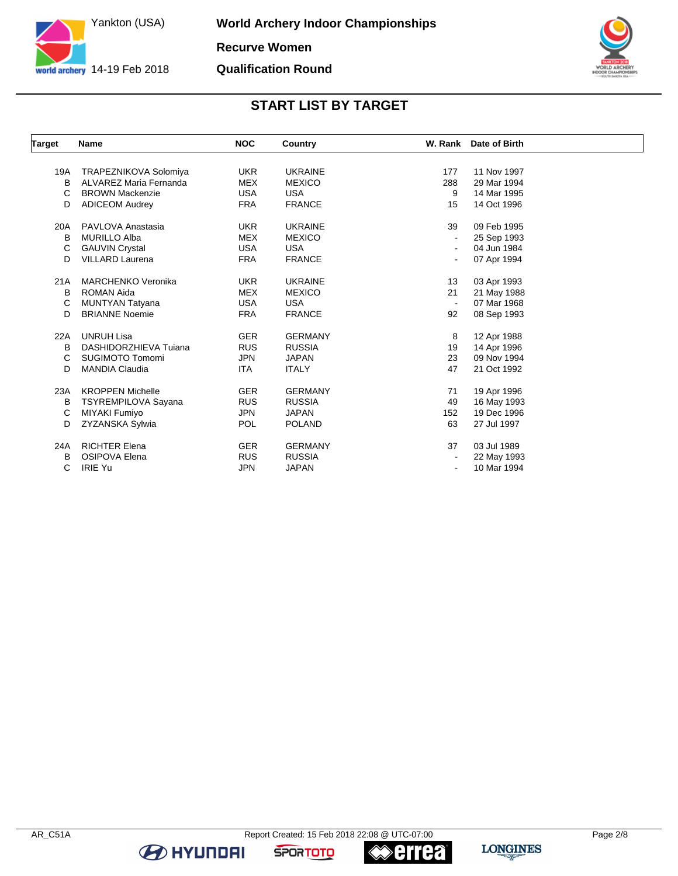

**World Archery Indoor Championships Recurve Women**

**Qualification Round**



### **START LIST BY TARGET**

| <b>Target</b> | <b>Name</b>                  | <b>NOC</b> | Country        |                          | W. Rank Date of Birth |  |
|---------------|------------------------------|------------|----------------|--------------------------|-----------------------|--|
|               |                              |            |                |                          |                       |  |
| 19A           | <b>TRAPEZNIKOVA Solomiya</b> | <b>UKR</b> | <b>UKRAINE</b> | 177                      | 11 Nov 1997           |  |
| B             | ALVAREZ Maria Fernanda       | <b>MEX</b> | <b>MEXICO</b>  | 288                      | 29 Mar 1994           |  |
| C             | <b>BROWN Mackenzie</b>       | <b>USA</b> | <b>USA</b>     | 9                        | 14 Mar 1995           |  |
| D             | <b>ADICEOM Audrey</b>        | <b>FRA</b> | <b>FRANCE</b>  | 15                       | 14 Oct 1996           |  |
| 20A           | PAVLOVA Anastasia            | <b>UKR</b> | <b>UKRAINE</b> | 39                       | 09 Feb 1995           |  |
| B             | <b>MURILLO Alba</b>          | <b>MEX</b> | <b>MEXICO</b>  | $\blacksquare$           | 25 Sep 1993           |  |
| C             | <b>GAUVIN Crystal</b>        | <b>USA</b> | <b>USA</b>     | $\blacksquare$           | 04 Jun 1984           |  |
| D             | <b>VILLARD Laurena</b>       | <b>FRA</b> | <b>FRANCE</b>  | $\blacksquare$           | 07 Apr 1994           |  |
| 21A           | <b>MARCHENKO Veronika</b>    | <b>UKR</b> | <b>UKRAINE</b> | 13                       | 03 Apr 1993           |  |
| B             | <b>ROMAN Aida</b>            | <b>MEX</b> | <b>MEXICO</b>  | 21                       | 21 May 1988           |  |
| C             | <b>MUNTYAN Tatyana</b>       | <b>USA</b> | <b>USA</b>     | $\blacksquare$           | 07 Mar 1968           |  |
| D             | <b>BRIANNE Noemie</b>        | <b>FRA</b> | <b>FRANCE</b>  | 92                       | 08 Sep 1993           |  |
| 22A           | <b>UNRUH Lisa</b>            | <b>GER</b> | <b>GERMANY</b> | 8                        | 12 Apr 1988           |  |
| B             | DASHIDORZHIEVA Tujana        | <b>RUS</b> | <b>RUSSIA</b>  | 19                       | 14 Apr 1996           |  |
| C             | <b>SUGIMOTO Tomomi</b>       | <b>JPN</b> | <b>JAPAN</b>   | 23                       | 09 Nov 1994           |  |
| D             | <b>MANDIA Claudia</b>        | <b>ITA</b> | <b>ITALY</b>   | 47                       | 21 Oct 1992           |  |
| 23A           | <b>KROPPEN Michelle</b>      | <b>GER</b> | <b>GERMANY</b> | 71                       | 19 Apr 1996           |  |
| В             | <b>TSYREMPILOVA Sayana</b>   | <b>RUS</b> | <b>RUSSIA</b>  | 49                       | 16 May 1993           |  |
| C             | MIYAKI Fumiyo                | <b>JPN</b> | JAPAN          | 152                      | 19 Dec 1996           |  |
| D             | <b>ZYZANSKA Sylwia</b>       | <b>POL</b> | <b>POLAND</b>  | 63                       | 27 Jul 1997           |  |
| 24A           | <b>RICHTER Elena</b>         | <b>GER</b> | <b>GERMANY</b> | 37                       | 03 Jul 1989           |  |
| B             | <b>OSIPOVA Elena</b>         | <b>RUS</b> | <b>RUSSIA</b>  | $\overline{\phantom{a}}$ | 22 May 1993           |  |
| C             | <b>IRIE Yu</b>               | <b>JPN</b> | <b>JAPAN</b>   | $\blacksquare$           | 10 Mar 1994           |  |

**BE HYUNDAI** 

**errea** 

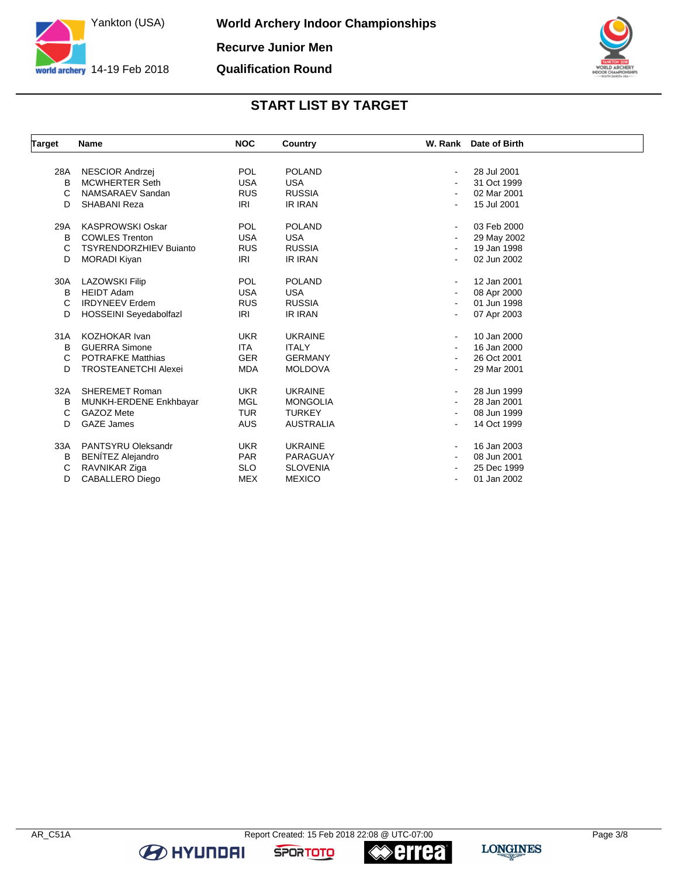

**World Archery Indoor Championships Recurve Junior Men Qualification Round**



#### **START LIST BY TARGET**

| <b>Target</b> | Name                          | <b>NOC</b> | Country          |                          | W. Rank Date of Birth |
|---------------|-------------------------------|------------|------------------|--------------------------|-----------------------|
|               |                               |            |                  |                          |                       |
| 28A           | NESCIOR Andrzej               | <b>POL</b> | <b>POLAND</b>    | $\blacksquare$           | 28 Jul 2001           |
| B             | <b>MCWHERTER Seth</b>         | <b>USA</b> | <b>USA</b>       |                          | 31 Oct 1999           |
| C             | NAMSARAEV Sandan              | <b>RUS</b> | <b>RUSSIA</b>    |                          | 02 Mar 2001           |
| D             | SHABANI Reza                  | IRI        | IR IRAN          |                          | 15 Jul 2001           |
| 29A           | <b>KASPROWSKI Oskar</b>       | <b>POL</b> | <b>POLAND</b>    | $\blacksquare$           | 03 Feb 2000           |
| B             | <b>COWLES Trenton</b>         | <b>USA</b> | <b>USA</b>       |                          | 29 May 2002           |
| C             | <b>TSYRENDORZHIEV Bujanto</b> | <b>RUS</b> | <b>RUSSIA</b>    |                          | 19 Jan 1998           |
| D             | <b>MORADI Kiyan</b>           | IRI        | <b>IR IRAN</b>   | $\overline{\phantom{a}}$ | 02 Jun 2002           |
| 30A           | <b>LAZOWSKI Filip</b>         | <b>POL</b> | <b>POLAND</b>    | $\blacksquare$           | 12 Jan 2001           |
| B             | <b>HEIDT Adam</b>             | <b>USA</b> | <b>USA</b>       |                          | 08 Apr 2000           |
| C             | <b>IRDYNEEV Erdem</b>         | <b>RUS</b> | <b>RUSSIA</b>    |                          | 01 Jun 1998           |
| D             | HOSSEINI Seyedabolfazl        | IRI        | IR IRAN          |                          | 07 Apr 2003           |
| 31A           | <b>KOZHOKAR Ivan</b>          | <b>UKR</b> | <b>UKRAINE</b>   | $\blacksquare$           | 10 Jan 2000           |
| B             | <b>GUERRA Simone</b>          | <b>ITA</b> | <b>ITALY</b>     |                          | 16 Jan 2000           |
| C             | <b>POTRAFKE Matthias</b>      | <b>GER</b> | <b>GERMANY</b>   |                          | 26 Oct 2001           |
| D             | <b>TROSTEANETCHI Alexei</b>   | <b>MDA</b> | <b>MOLDOVA</b>   |                          | 29 Mar 2001           |
| 32A           | <b>SHEREMET Roman</b>         | <b>UKR</b> | <b>UKRAINE</b>   |                          | 28 Jun 1999           |
| в             | MUNKH-ERDENE Enkhbayar        | <b>MGL</b> | <b>MONGOLIA</b>  |                          | 28 Jan 2001           |
| C             | GAZOZ Mete                    | <b>TUR</b> | <b>TURKEY</b>    | $\blacksquare$           | 08 Jun 1999           |
| D             | <b>GAZE James</b>             | <b>AUS</b> | <b>AUSTRALIA</b> |                          | 14 Oct 1999           |
| 33A           | PANTSYRU Oleksandr            | <b>UKR</b> | <b>UKRAINE</b>   | $\sim$                   | 16 Jan 2003           |
| B             | <b>BENÍTEZ Alejandro</b>      | <b>PAR</b> | PARAGUAY         |                          | 08 Jun 2001           |
| C             | RAVNIKAR Ziga                 | <b>SLO</b> | <b>SLOVENIA</b>  |                          | 25 Dec 1999           |
| D             | <b>CABALLERO Diego</b>        | MEX        | <b>MEXICO</b>    | $\blacksquare$           | 01 Jan 2002           |

**BE HYUNDAI** 

**errea** 

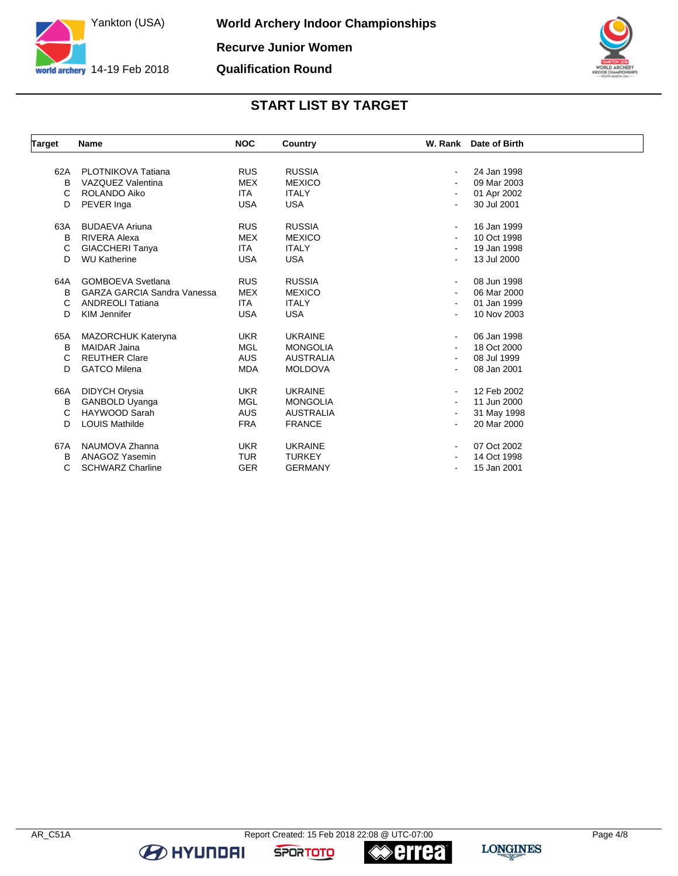

**World Archery Indoor Championships Recurve Junior Women**

**Qualification Round**



## **START LIST BY TARGET**

| <b>Target</b> | Name                               | <b>NOC</b> | Country          |                | W. Rank Date of Birth |
|---------------|------------------------------------|------------|------------------|----------------|-----------------------|
|               |                                    |            |                  |                |                       |
| 62A           | PLOTNIKOVA Tatiana                 | <b>RUS</b> | <b>RUSSIA</b>    | $\blacksquare$ | 24 Jan 1998           |
| в             | VAZQUEZ Valentina                  | <b>MEX</b> | <b>MEXICO</b>    |                | 09 Mar 2003           |
| C             | ROLANDO Aiko                       | <b>ITA</b> | <b>ITALY</b>     |                | 01 Apr 2002           |
| D             | PEVER Inga                         | <b>USA</b> | <b>USA</b>       |                | 30 Jul 2001           |
| 63A           | <b>BUDAEVA Ariuna</b>              | <b>RUS</b> | <b>RUSSIA</b>    | $\blacksquare$ | 16 Jan 1999           |
| В             | RIVERA Alexa                       | <b>MEX</b> | <b>MEXICO</b>    | ۰.             | 10 Oct 1998           |
| C             | <b>GIACCHERI Tanya</b>             | <b>ITA</b> | <b>ITALY</b>     |                | 19 Jan 1998           |
| D             | <b>WU Katherine</b>                | <b>USA</b> | <b>USA</b>       |                | 13 Jul 2000           |
| 64A           | <b>GOMBOEVA Svetlana</b>           | <b>RUS</b> | <b>RUSSIA</b>    | $\blacksquare$ | 08 Jun 1998           |
| В             | <b>GARZA GARCIA Sandra Vanessa</b> | <b>MEX</b> | <b>MEXICO</b>    |                | 06 Mar 2000           |
| C             | <b>ANDREOLI Tatiana</b>            | <b>ITA</b> | <b>ITALY</b>     |                | 01 Jan 1999           |
| D             | KIM Jennifer                       | <b>USA</b> | <b>USA</b>       |                | 10 Nov 2003           |
| 65A           | MAZORCHUK Kateryna                 | <b>UKR</b> | <b>UKRAINE</b>   | $\blacksquare$ | 06 Jan 1998           |
| B             | <b>MAIDAR Jaina</b>                | <b>MGL</b> | <b>MONGOLIA</b>  |                | 18 Oct 2000           |
| С             | <b>REUTHER Clare</b>               | <b>AUS</b> | <b>AUSTRALIA</b> |                | 08 Jul 1999           |
| D             | <b>GATCO Milena</b>                | <b>MDA</b> | <b>MOLDOVA</b>   |                | 08 Jan 2001           |
| 66A           | DIDYCH Orysia                      | <b>UKR</b> | <b>UKRAINE</b>   |                | 12 Feb 2002           |
| В             | GANBOLD Uyanga                     | <b>MGL</b> | <b>MONGOLIA</b>  |                | 11 Jun 2000           |
| C             | HAYWOOD Sarah                      | <b>AUS</b> | <b>AUSTRALIA</b> | $\blacksquare$ | 31 May 1998           |
| D             | <b>LOUIS Mathilde</b>              | <b>FRA</b> | <b>FRANCE</b>    |                | 20 Mar 2000           |
| 67A           | NAUMOVA Zhanna                     | <b>UKR</b> | <b>UKRAINE</b>   |                | 07 Oct 2002           |
| B             | ANAGOZ Yasemin                     | <b>TUR</b> | <b>TURKEY</b>    |                | 14 Oct 1998           |
| C             | <b>SCHWARZ Charline</b>            | <b>GER</b> | <b>GERMANY</b>   |                | 15 Jan 2001           |

**BE HYUNDAI** 

**≪errea**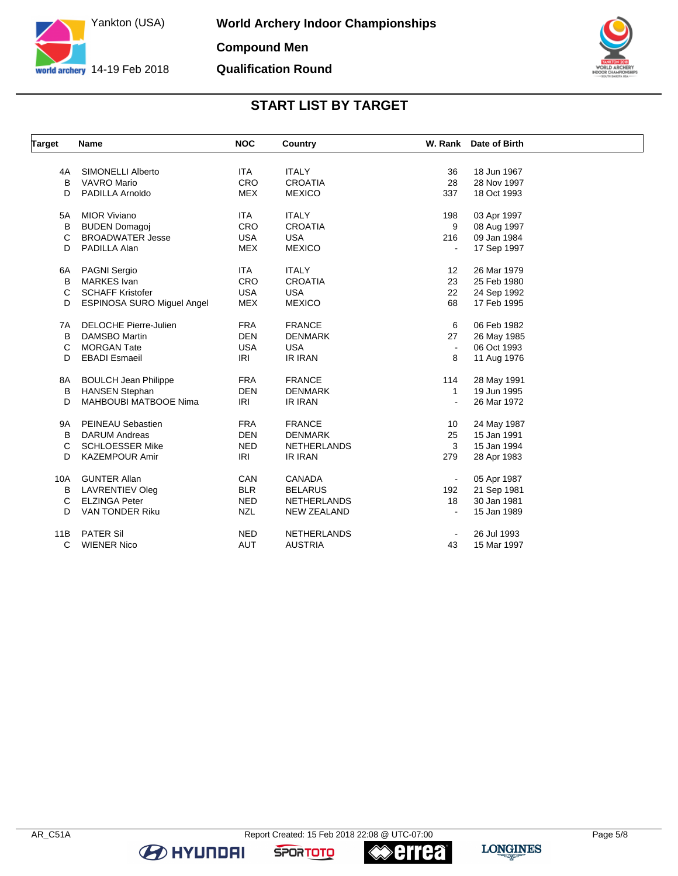

**World Archery Indoor Championships Compound Men Qualification Round**



## **START LIST BY TARGET**

| <b>Target</b> | Name                              | <b>NOC</b> | Country            |                | W. Rank Date of Birth |  |
|---------------|-----------------------------------|------------|--------------------|----------------|-----------------------|--|
|               |                                   |            |                    |                |                       |  |
| 4A            | <b>SIMONELLI Alberto</b>          | <b>ITA</b> | <b>ITALY</b>       | 36             | 18 Jun 1967           |  |
| в             | <b>VAVRO Mario</b>                | <b>CRO</b> | <b>CROATIA</b>     | 28             | 28 Nov 1997           |  |
| D             | PADILLA Arnoldo                   | <b>MEX</b> | <b>MEXICO</b>      | 337            | 18 Oct 1993           |  |
| 5A            | <b>MIOR Viviano</b>               | <b>ITA</b> | <b>ITALY</b>       | 198            | 03 Apr 1997           |  |
| в             | <b>BUDEN Domagoj</b>              | <b>CRO</b> | <b>CROATIA</b>     | 9              | 08 Aug 1997           |  |
| C             | <b>BROADWATER Jesse</b>           | <b>USA</b> | <b>USA</b>         | 216            | 09 Jan 1984           |  |
| D             | PADILLA Alan                      | <b>MEX</b> | <b>MEXICO</b>      | ÷,             | 17 Sep 1997           |  |
| 6A            | PAGNI Sergio                      | <b>ITA</b> | <b>ITALY</b>       | 12             | 26 Mar 1979           |  |
| B             | <b>MARKES</b> Ivan                | CRO        | <b>CROATIA</b>     | 23             | 25 Feb 1980           |  |
| C             | <b>SCHAFF Kristofer</b>           | <b>USA</b> | <b>USA</b>         | 22             | 24 Sep 1992           |  |
| D             | <b>ESPINOSA SURO Miguel Angel</b> | <b>MEX</b> | <b>MEXICO</b>      | 68             | 17 Feb 1995           |  |
| 7A            | <b>DELOCHE Pierre-Julien</b>      | <b>FRA</b> | <b>FRANCE</b>      | 6              | 06 Feb 1982           |  |
| B             | DAMSBO Martin                     | <b>DEN</b> | <b>DENMARK</b>     | 27             | 26 May 1985           |  |
| C             | <b>MORGAN Tate</b>                | <b>USA</b> | <b>USA</b>         | $\blacksquare$ | 06 Oct 1993           |  |
| D             | <b>EBADI</b> Esmaeil              | IRI        | IR IRAN            | 8              | 11 Aug 1976           |  |
| 8A            | <b>BOULCH Jean Philippe</b>       | <b>FRA</b> | <b>FRANCE</b>      | 114            | 28 May 1991           |  |
| B             | <b>HANSEN Stephan</b>             | <b>DEN</b> | <b>DENMARK</b>     | $\mathbf{1}$   | 19 Jun 1995           |  |
| D             | <b>MAHBOUBI MATBOOE Nima</b>      | IRI        | <b>IR IRAN</b>     |                | 26 Mar 1972           |  |
| 9A            | PEINEAU Sebastien                 | <b>FRA</b> | <b>FRANCE</b>      | 10             | 24 May 1987           |  |
| B             | <b>DARUM Andreas</b>              | <b>DEN</b> | <b>DENMARK</b>     | 25             | 15 Jan 1991           |  |
| C             | <b>SCHLOESSER Mike</b>            | <b>NED</b> | <b>NETHERLANDS</b> | 3              | 15 Jan 1994           |  |
| D             | <b>KAZEMPOUR Amir</b>             | IRI        | IR IRAN            | 279            | 28 Apr 1983           |  |
| 10A           | <b>GUNTER Allan</b>               | CAN        | CANADA             | $\blacksquare$ | 05 Apr 1987           |  |
| В             | LAVRENTIEV Oleg                   | <b>BLR</b> | <b>BELARUS</b>     | 192            | 21 Sep 1981           |  |
| C             | <b>ELZINGA Peter</b>              | <b>NED</b> | <b>NETHERLANDS</b> | 18             | 30 Jan 1981           |  |
| D             | VAN TONDER Riku                   | <b>NZL</b> | <b>NEW ZEALAND</b> | $\blacksquare$ | 15 Jan 1989           |  |
| 11B           | <b>PATER Sil</b>                  | <b>NED</b> | <b>NETHERLANDS</b> |                | 26 Jul 1993           |  |
| C             | <b>WIENER Nico</b>                | <b>AUT</b> | <b>AUSTRIA</b>     | 43             | 15 Mar 1997           |  |

**BE HYUNDAI** 

**errea** 

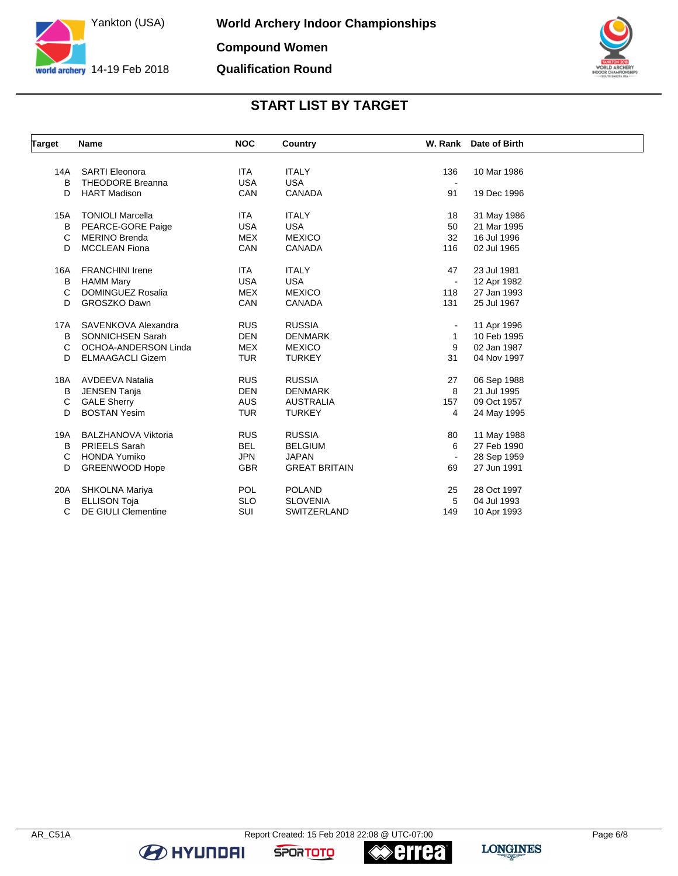



## **START LIST BY TARGET**

| Target     | Name                                  | <b>NOC</b> | Country              |                | W. Rank Date of Birth      |  |
|------------|---------------------------------------|------------|----------------------|----------------|----------------------------|--|
|            |                                       |            |                      |                |                            |  |
| 14A        | <b>SARTI Eleonora</b>                 | <b>ITA</b> | <b>ITALY</b>         | 136            | 10 Mar 1986                |  |
| B          | <b>THEODORE Breanna</b>               | <b>USA</b> | <b>USA</b>           |                |                            |  |
| D          | <b>HART Madison</b>                   | CAN        | CANADA               | 91             | 19 Dec 1996                |  |
| <b>15A</b> | <b>TONIOLI Marcella</b>               | <b>ITA</b> | <b>ITALY</b>         | 18             | 31 May 1986                |  |
| В          | PEARCE-GORE Paige                     | <b>USA</b> | <b>USA</b>           | 50             | 21 Mar 1995                |  |
| C          | <b>MERINO Brenda</b>                  | <b>MEX</b> | <b>MEXICO</b>        | 32             | 16 Jul 1996                |  |
| D          | <b>MCCLEAN Fiona</b>                  | CAN        | <b>CANADA</b>        | 116            | 02 Jul 1965                |  |
| 16A        | <b>FRANCHINI Irene</b>                | <b>ITA</b> | <b>ITALY</b>         | 47             | 23 Jul 1981                |  |
| В          | <b>HAMM Mary</b>                      | <b>USA</b> | <b>USA</b>           | $\blacksquare$ | 12 Apr 1982                |  |
| C          | <b>DOMINGUEZ Rosalia</b>              | <b>MEX</b> | <b>MEXICO</b>        | 118            | 27 Jan 1993                |  |
| D          | <b>GROSZKO Dawn</b>                   | CAN        | <b>CANADA</b>        | 131            | 25 Jul 1967                |  |
| 17A        | SAVENKOVA Alexandra                   | <b>RUS</b> | <b>RUSSIA</b>        | $\blacksquare$ | 11 Apr 1996                |  |
| B          | SONNICHSEN Sarah                      | <b>DEN</b> | <b>DENMARK</b>       | 1              | 10 Feb 1995                |  |
| C          | OCHOA-ANDERSON Linda                  | <b>MEX</b> | <b>MEXICO</b>        | 9              | 02 Jan 1987                |  |
| D          | <b>ELMAAGACLI Gizem</b>               | <b>TUR</b> | <b>TURKEY</b>        | 31             | 04 Nov 1997                |  |
| 18A        | <b>AVDEEVA Natalia</b>                | <b>RUS</b> | <b>RUSSIA</b>        | 27             | 06 Sep 1988                |  |
| В          | <b>JENSEN Tanja</b>                   | <b>DEN</b> | <b>DENMARK</b>       | 8              | 21 Jul 1995                |  |
| C          | <b>GALE Sherry</b>                    | <b>AUS</b> | <b>AUSTRALIA</b>     | 157            | 09 Oct 1957                |  |
| D          | <b>BOSTAN Yesim</b>                   | <b>TUR</b> | <b>TURKEY</b>        | 4              | 24 May 1995                |  |
| 19A        | <b>BALZHANOVA Viktoria</b>            | <b>RUS</b> | <b>RUSSIA</b>        | 80             | 11 May 1988                |  |
| B          | <b>PRIEELS Sarah</b>                  | <b>BEL</b> | <b>BELGIUM</b>       | 6              | 27 Feb 1990                |  |
| C          | <b>HONDA Yumiko</b>                   | <b>JPN</b> | <b>JAPAN</b>         | $\blacksquare$ | 28 Sep 1959                |  |
| D          | <b>GREENWOOD Hope</b>                 | <b>GBR</b> | <b>GREAT BRITAIN</b> | 69             | 27 Jun 1991                |  |
|            |                                       | <b>POL</b> | <b>POLAND</b>        |                |                            |  |
| 20A        | SHKOLNA Mariya<br><b>ELLISON Toja</b> | <b>SLO</b> | <b>SLOVENIA</b>      | 25<br>5        | 28 Oct 1997<br>04 Jul 1993 |  |
| В          |                                       |            |                      |                |                            |  |
| C          | <b>DE GIULI Clementine</b>            | SUI        | <b>SWITZERLAND</b>   | 149            | 10 Apr 1993                |  |

**BE HYUNDAI** 

**errea** 

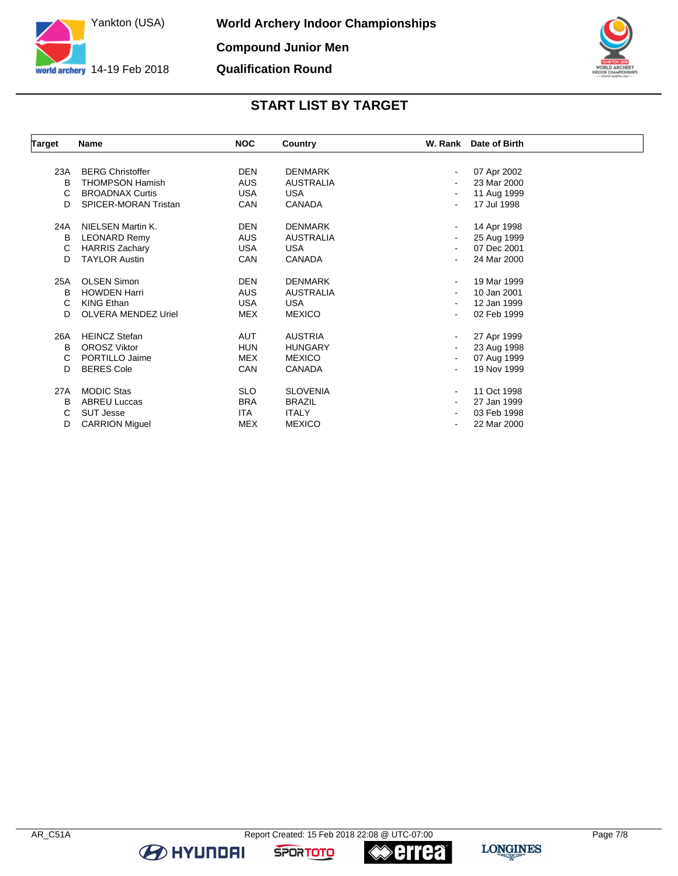



## **START LIST BY TARGET**

| Target | <b>Name</b>             | <b>NOC</b> | Country          | W. Rank Date of Birth |
|--------|-------------------------|------------|------------------|-----------------------|
|        |                         |            |                  |                       |
| 23A    | <b>BERG Christoffer</b> | <b>DEN</b> | <b>DENMARK</b>   | 07 Apr 2002           |
| B      | <b>THOMPSON Hamish</b>  | <b>AUS</b> | <b>AUSTRALIA</b> | 23 Mar 2000           |
| C      | <b>BROADNAX Curtis</b>  | <b>USA</b> | <b>USA</b>       | 11 Aug 1999           |
| D      | SPICER-MORAN Tristan    | CAN        | CANADA           | 17 Jul 1998           |
| 24A    | NIELSEN Martin K.       | <b>DEN</b> | <b>DENMARK</b>   | 14 Apr 1998           |
| в      | <b>LEONARD Remy</b>     | <b>AUS</b> | <b>AUSTRALIA</b> | 25 Aug 1999           |
| C      | <b>HARRIS Zachary</b>   | <b>USA</b> | <b>USA</b>       | 07 Dec 2001           |
| D      | <b>TAYLOR Austin</b>    | CAN        | <b>CANADA</b>    | 24 Mar 2000           |
|        |                         |            |                  |                       |
| 25A    | <b>OLSEN Simon</b>      | <b>DEN</b> | <b>DENMARK</b>   | 19 Mar 1999           |
| B      | <b>HOWDEN Harri</b>     | <b>AUS</b> | <b>AUSTRALIA</b> | 10 Jan 2001           |
| C      | <b>KING Ethan</b>       | USA        | <b>USA</b>       | 12 Jan 1999           |
| D      | OLVERA MENDEZ Uriel     | MEX        | <b>MEXICO</b>    | 02 Feb 1999           |
| 26A    | <b>HEINCZ Stefan</b>    | <b>AUT</b> | <b>AUSTRIA</b>   | 27 Apr 1999           |
| B      | <b>OROSZ Viktor</b>     | <b>HUN</b> | <b>HUNGARY</b>   | 23 Aug 1998           |
| C      | PORTILLO Jaime          | <b>MEX</b> | <b>MEXICO</b>    | 07 Aug 1999           |
| D      | <b>BERES Cole</b>       | CAN        | CANADA           | 19 Nov 1999           |
| 27A    | <b>MODIC Stas</b>       | <b>SLO</b> | <b>SLOVENIA</b>  | 11 Oct 1998           |
| B      | <b>ABREU Luccas</b>     | <b>BRA</b> | <b>BRAZIL</b>    | 27 Jan 1999           |
| С      | <b>SUT Jesse</b>        | <b>ITA</b> | <b>ITALY</b>     | 03 Feb 1998           |
| D      | <b>CARRION Miguel</b>   | <b>MEX</b> | <b>MEXICO</b>    | 22 Mar 2000           |

**B** HYUNDAI

**«≫errea**